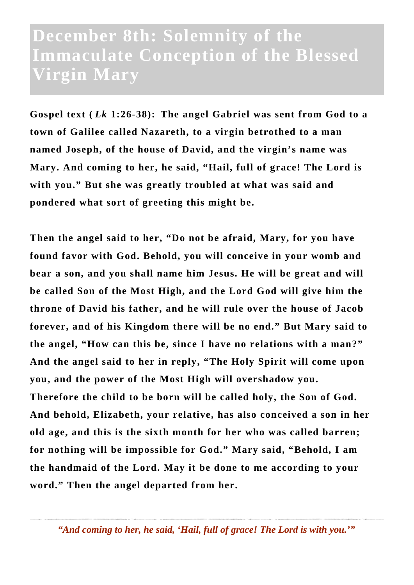## **December 8th: Solemnity of the Immaculate Conception of the Blessed Virgin Mary**

**Gospel text (** *Lk* **1:26-38): The angel Gabriel was sent from God to a town of Galilee called Nazareth, to a virgin betrothed to a man named Joseph, of the house of David, and the virgin's name was Mary. And coming to her, he said, "Hail, full of grace! The Lord is with you." But she was greatly troubled at what was said and pondered what sort of greeting this might be.**

**Then the angel said to her, "Do not be afraid, Mary, for you have found favor with God. Behold, you will conceive in your womb and bear a son, and you shall name him Jesus. He will be great and will be called Son of the Most High, and the Lord God will give him the throne of David his father, and he will rule over the house of Jacob forever, and of his Kingdom there will be no end." But Mary said to the angel, "How can this be, since I have no relations with a man?" And the angel said to her in reply, "The Holy Spirit will come upon you, and the power of the Most High will overshadow you. Therefore the child to be born will be called holy, the Son of God. And behold, Elizabeth, your relative, has also conceived a son in her old age, and this is the sixth month for her who was called barren; for nothing will be impossible for God." Mary said, "Behold, I am the handmaid of the Lord. May it be done to me according to your word." Then the angel departed from her.**

*"And coming to her, he said, 'Hail, full of grace! The Lord is with you.'"*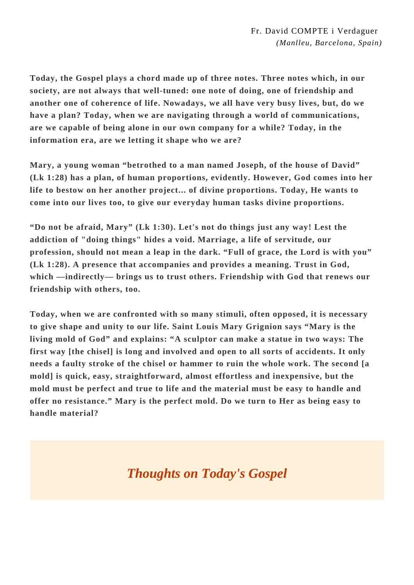**Today, the Gospel plays a chord made up of three notes. Three notes which, in our society, are not always that well-tuned: one note of doing, one of friendship and another one of coherence of life. Nowadays, we all have very busy lives, but, do we have a plan? Today, when we are navigating through a world of communications, are we capable of being alone in our own company for a while? Today, in the information era, are we letting it shape who we are?**

**Mary, a young woman "betrothed to a man named Joseph, of the house of David" (Lk 1:28) has a plan, of human proportions, evidently. However, God comes into her life to bestow on her another project... of divine proportions. Today, He wants to come into our lives too, to give our everyday human tasks divine proportions.**

**"Do not be afraid, Mary" (Lk 1:30). Let's not do things just any way! Lest the addiction of "doing things" hides a void. Marriage, a life of servitude, our profession, should not mean a leap in the dark. "Full of grace, the Lord is with you" (Lk 1:28). A presence that accompanies and provides a meaning. Trust in God, which —indirectly— brings us to trust others. Friendship with God that renews our friendship with others, too.**

**Today, when we are confronted with so many stimuli, often opposed, it is necessary to give shape and unity to our life. Saint Louis Mary Grignion says "Mary is the living mold of God" and explains: "A sculptor can make a statue in two ways: The first way [the chisel] is long and involved and open to all sorts of accidents. It only needs a faulty stroke of the chisel or hammer to ruin the whole work. The second [a mold] is quick, easy, straightforward, almost effortless and inexpensive, but the mold must be perfect and true to life and the material must be easy to handle and offer no resistance." Mary is the perfect mold. Do we turn to Her as being easy to handle material?**

## *Thoughts on Today's Gospel*